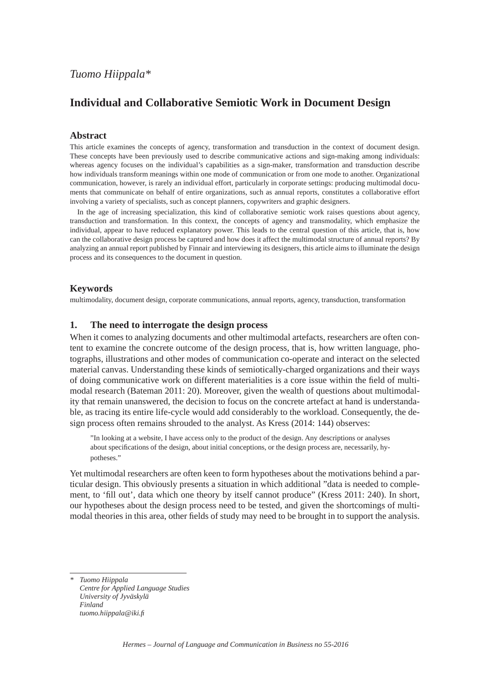# **Individual and Collaborative Semiotic Work in Document Design**

#### **Abstract**

This article examines the concepts of agency, transformation and transduction in the context of document design. These concepts have been previously used to describe communicative actions and sign-making among individuals: whereas agency focuses on the individual's capabilities as a sign-maker, transformation and transduction describe how individuals transform meanings within one mode of communication or from one mode to another. Organizational communication, however, is rarely an individual effort, particularly in corporate settings: producing multimodal documents that communicate on behalf of entire organizations, such as annual reports, constitutes a collaborative effort involving a variety of specialists, such as concept planners, copywriters and graphic designers.

In the age of increasing specialization, this kind of collaborative semiotic work raises questions about agency, transduction and transformation. In this context, the concepts of agency and transmodality, which emphasize the individual, appear to have reduced explanatory power. This leads to the central question of this article, that is, how can the collaborative design process be captured and how does it affect the multimodal structure of annual reports? By analyzing an annual report published by Finnair and interviewing its designers, this article aims to illuminate the design process and its consequences to the document in question.

#### **Keywords**

multimodality, document design, corporate communications, annual reports, agency, transduction, transformation

#### **1. The need to interrogate the design process**

When it comes to analyzing documents and other multimodal artefacts, researchers are often content to examine the concrete outcome of the design process, that is, how written language, photographs, illustrations and other modes of communication co-operate and interact on the selected material canvas. Understanding these kinds of semiotically-charged organizations and their ways of doing communicative work on different materialities is a core issue within the field of multimodal research (Bateman 2011: 20). Moreover, given the wealth of questions about multimodality that remain unanswered, the decision to focus on the concrete artefact at hand is understandable, as tracing its entire life-cycle would add considerably to the workload. Consequently, the design process often remains shrouded to the analyst. As Kress (2014: 144) observes:

 "In looking at a website, I have access only to the product of the design. Any descriptions or analyses about specifications of the design, about initial conceptions, or the design process are, necessarily, hypotheses."

Yet multimodal researchers are often keen to form hypotheses about the motivations behind a particular design. This obviously presents a situation in which additional "data is needed to complement, to 'fill out', data which one theory by itself cannot produce" (Kress 2011: 240). In short, our hypotheses about the design process need to be tested, and given the shortcomings of multimodal theories in this area, other fields of study may need to be brought in to support the analysis.

*\* Tuomo Hiippala Centre for Applied Language Studies University of Jyväskylä Finland tuomo.hiippala@iki.fi*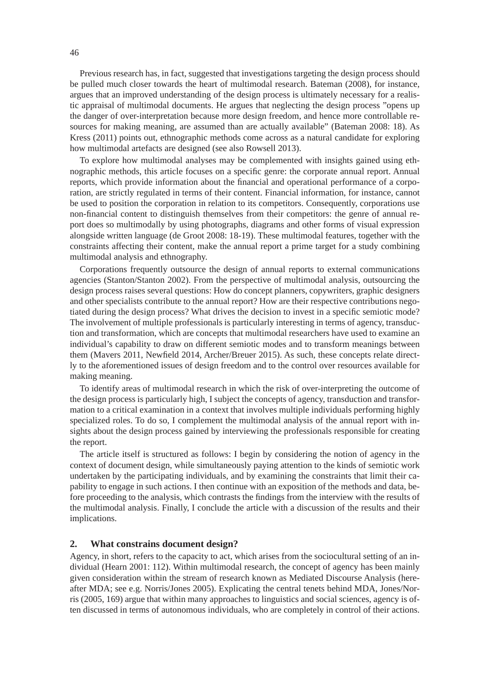Previous research has, in fact, suggested that investigations targeting the design process should be pulled much closer towards the heart of multimodal research. Bateman (2008), for instance, argues that an improved understanding of the design process is ultimately necessary for a realistic appraisal of multimodal documents. He argues that neglecting the design process "opens up the danger of over-interpretation because more design freedom, and hence more controllable resources for making meaning, are assumed than are actually available" (Bateman 2008: 18). As Kress (2011) points out, ethnographic methods come across as a natural candidate for exploring how multimodal artefacts are designed (see also Rowsell 2013).

To explore how multimodal analyses may be complemented with insights gained using ethnographic methods, this article focuses on a specific genre: the corporate annual report. Annual reports, which provide information about the financial and operational performance of a corporation, are strictly regulated in terms of their content. Financial information, for instance, cannot be used to position the corporation in relation to its competitors. Consequently, corporations use non-financial content to distinguish themselves from their competitors: the genre of annual report does so multimodally by using photographs, diagrams and other forms of visual expression alongside written language (de Groot 2008: 18-19). These multimodal features, together with the constraints affecting their content, make the annual report a prime target for a study combining multimodal analysis and ethnography.

Corporations frequently outsource the design of annual reports to external communications agencies (Stanton/Stanton 2002). From the perspective of multimodal analysis, outsourcing the design process raises several questions: How do concept planners, copywriters, graphic designers and other specialists contribute to the annual report? How are their respective contributions negotiated during the design process? What drives the decision to invest in a specific semiotic mode? The involvement of multiple professionals is particularly interesting in terms of agency, transduction and transformation, which are concepts that multimodal researchers have used to examine an individual's capability to draw on different semiotic modes and to transform meanings between them (Mavers 2011, Newfield 2014, Archer/Breuer 2015). As such, these concepts relate directly to the aforementioned issues of design freedom and to the control over resources available for making meaning.

To identify areas of multimodal research in which the risk of over-interpreting the outcome of the design process is particularly high, I subject the concepts of agency, transduction and transformation to a critical examination in a context that involves multiple individuals performing highly specialized roles. To do so, I complement the multimodal analysis of the annual report with insights about the design process gained by interviewing the professionals responsible for creating the report.

The article itself is structured as follows: I begin by considering the notion of agency in the context of document design, while simultaneously paying attention to the kinds of semiotic work undertaken by the participating individuals, and by examining the constraints that limit their capability to engage in such actions. I then continue with an exposition of the methods and data, before proceeding to the analysis, which contrasts the findings from the interview with the results of the multimodal analysis. Finally, I conclude the article with a discussion of the results and their implications.

#### **2. What constrains document design?**

Agency, in short, refers to the capacity to act, which arises from the sociocultural setting of an individual (Hearn 2001: 112). Within multimodal research, the concept of agency has been mainly given consideration within the stream of research known as Mediated Discourse Analysis (hereafter MDA; see e.g. Norris/Jones 2005). Explicating the central tenets behind MDA, Jones/Norris (2005, 169) argue that within many approaches to linguistics and social sciences, agency is often discussed in terms of autonomous individuals, who are completely in control of their actions.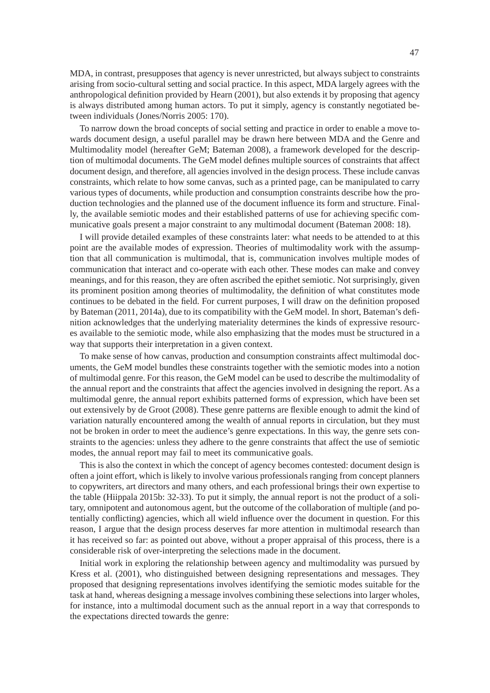MDA, in contrast, presupposes that agency is never unrestricted, but always subject to constraints arising from socio-cultural setting and social practice. In this aspect, MDA largely agrees with the anthropological definition provided by Hearn (2001), but also extends it by proposing that agency is always distributed among human actors. To put it simply, agency is constantly negotiated between individuals (Jones/Norris 2005: 170).

To narrow down the broad concepts of social setting and practice in order to enable a move towards document design, a useful parallel may be drawn here between MDA and the Genre and Multimodality model (hereafter GeM; Bateman 2008), a framework developed for the description of multimodal documents. The GeM model defines multiple sources of constraints that affect document design, and therefore, all agencies involved in the design process. These include canvas constraints, which relate to how some canvas, such as a printed page, can be manipulated to carry various types of documents, while production and consumption constraints describe how the production technologies and the planned use of the document influence its form and structure. Finally, the available semiotic modes and their established patterns of use for achieving specifi c communicative goals present a major constraint to any multimodal document (Bateman 2008: 18).

I will provide detailed examples of these constraints later: what needs to be attended to at this point are the available modes of expression. Theories of multimodality work with the assumption that all communication is multimodal, that is, communication involves multiple modes of communication that interact and co-operate with each other. These modes can make and convey meanings, and for this reason, they are often ascribed the epithet semiotic. Not surprisingly, given its prominent position among theories of multimodality, the definition of what constitutes mode continues to be debated in the field. For current purposes, I will draw on the definition proposed by Bateman (2011, 2014a), due to its compatibility with the GeM model. In short, Bateman's definition acknowledges that the underlying materiality determines the kinds of expressive resources available to the semiotic mode, while also emphasizing that the modes must be structured in a way that supports their interpretation in a given context.

To make sense of how canvas, production and consumption constraints affect multimodal documents, the GeM model bundles these constraints together with the semiotic modes into a notion of multimodal genre. For this reason, the GeM model can be used to describe the multimodality of the annual report and the constraints that affect the agencies involved in designing the report. As a multimodal genre, the annual report exhibits patterned forms of expression, which have been set out extensively by de Groot (2008). These genre patterns are flexible enough to admit the kind of variation naturally encountered among the wealth of annual reports in circulation, but they must not be broken in order to meet the audience's genre expectations. In this way, the genre sets constraints to the agencies: unless they adhere to the genre constraints that affect the use of semiotic modes, the annual report may fail to meet its communicative goals.

This is also the context in which the concept of agency becomes contested: document design is often a joint effort, which is likely to involve various professionals ranging from concept planners to copywriters, art directors and many others, and each professional brings their own expertise to the table (Hiippala 2015b: 32-33). To put it simply, the annual report is not the product of a solitary, omnipotent and autonomous agent, but the outcome of the collaboration of multiple (and potentially conflicting) agencies, which all wield influence over the document in question. For this reason, I argue that the design process deserves far more attention in multimodal research than it has received so far: as pointed out above, without a proper appraisal of this process, there is a considerable risk of over-interpreting the selections made in the document.

Initial work in exploring the relationship between agency and multimodality was pursued by Kress et al. (2001), who distinguished between designing representations and messages. They proposed that designing representations involves identifying the semiotic modes suitable for the task at hand, whereas designing a message involves combining these selections into larger wholes, for instance, into a multimodal document such as the annual report in a way that corresponds to the expectations directed towards the genre: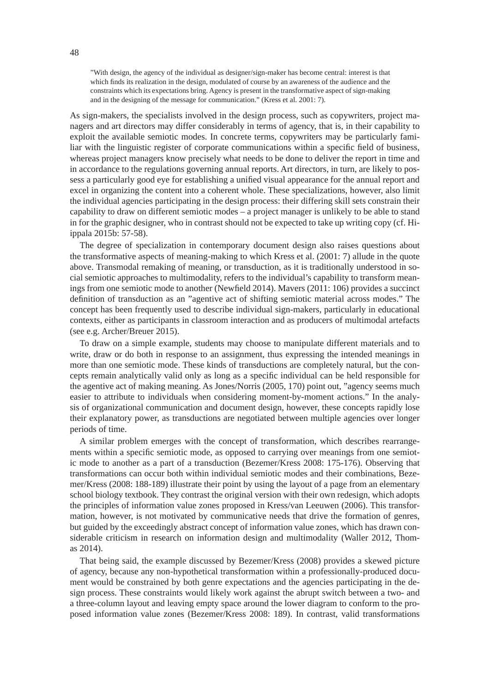"With design, the agency of the individual as designer/sign-maker has become central: interest is that which finds its realization in the design, modulated of course by an awareness of the audience and the constraints which its expectations bring. Agency is present in the transformative aspect of sign-making and in the designing of the message for communication." (Kress et al. 2001: 7).

As sign-makers, the specialists involved in the design process, such as copywriters, project managers and art directors may differ considerably in terms of agency, that is, in their capability to exploit the available semiotic modes. In concrete terms, copywriters may be particularly familiar with the linguistic register of corporate communications within a specific field of business, whereas project managers know precisely what needs to be done to deliver the report in time and in accordance to the regulations governing annual reports. Art directors, in turn, are likely to possess a particularly good eye for establishing a unified visual appearance for the annual report and excel in organizing the content into a coherent whole. These specializations, however, also limit the individual agencies participating in the design process: their differing skill sets constrain their capability to draw on different semiotic modes – a project manager is unlikely to be able to stand in for the graphic designer, who in contrast should not be expected to take up writing copy (cf. Hiippala 2015b: 57-58).

The degree of specialization in contemporary document design also raises questions about the transformative aspects of meaning-making to which Kress et al. (2001: 7) allude in the quote above. Transmodal remaking of meaning, or transduction, as it is traditionally understood in social semiotic approaches to multimodality, refers to the individual's capability to transform meanings from one semiotic mode to another (Newfield 2014). Mayers (2011: 106) provides a succinct definition of transduction as an "agentive act of shifting semiotic material across modes." The concept has been frequently used to describe individual sign-makers, particularly in educational contexts, either as participants in classroom interaction and as producers of multimodal artefacts (see e.g. Archer/Breuer 2015).

To draw on a simple example, students may choose to manipulate different materials and to write, draw or do both in response to an assignment, thus expressing the intended meanings in more than one semiotic mode. These kinds of transductions are completely natural, but the concepts remain analytically valid only as long as a specific individual can be held responsible for the agentive act of making meaning. As Jones/Norris (2005, 170) point out, "agency seems much easier to attribute to individuals when considering moment-by-moment actions." In the analysis of organizational communication and document design, however, these concepts rapidly lose their explanatory power, as transductions are negotiated between multiple agencies over longer periods of time.

A similar problem emerges with the concept of transformation, which describes rearrangements within a specific semiotic mode, as opposed to carrying over meanings from one semiotic mode to another as a part of a transduction (Bezemer/Kress 2008: 175-176). Observing that transformations can occur both within individual semiotic modes and their combinations, Bezemer/Kress (2008: 188-189) illustrate their point by using the layout of a page from an elementary school biology textbook. They contrast the original version with their own redesign, which adopts the principles of information value zones proposed in Kress/van Leeuwen (2006). This transformation, however, is not motivated by communicative needs that drive the formation of genres, but guided by the exceedingly abstract concept of information value zones, which has drawn considerable criticism in research on information design and multimodality (Waller 2012, Thomas 2014).

That being said, the example discussed by Bezemer/Kress (2008) provides a skewed picture of agency, because any non-hypothetical transformation within a professionally-produced document would be constrained by both genre expectations and the agencies participating in the design process. These constraints would likely work against the abrupt switch between a two- and a three-column layout and leaving empty space around the lower diagram to conform to the proposed information value zones (Bezemer/Kress 2008: 189). In contrast, valid transformations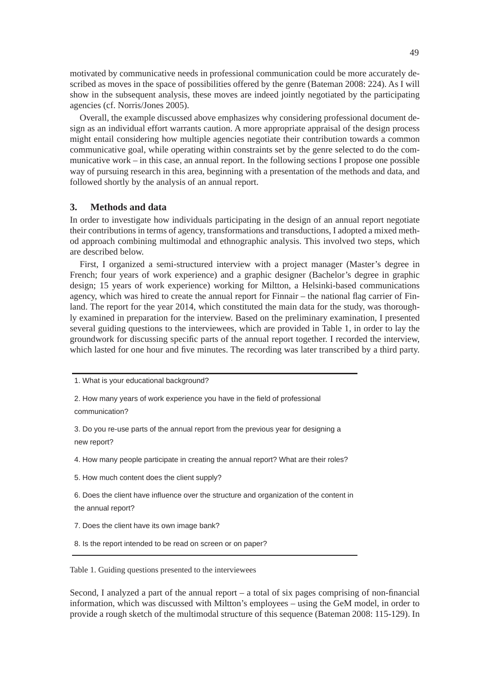motivated by communicative needs in professional communication could be more accurately described as moves in the space of possibilities offered by the genre (Bateman 2008: 224). As I will show in the subsequent analysis, these moves are indeed jointly negotiated by the participating agencies (cf. Norris/Jones 2005).

Overall, the example discussed above emphasizes why considering professional document design as an individual effort warrants caution. A more appropriate appraisal of the design process might entail considering how multiple agencies negotiate their contribution towards a common communicative goal, while operating within constraints set by the genre selected to do the communicative work – in this case, an annual report. In the following sections I propose one possible way of pursuing research in this area, beginning with a presentation of the methods and data, and followed shortly by the analysis of an annual report.

#### **3. Methods and data**

In order to investigate how individuals participating in the design of an annual report negotiate their contributions in terms of agency, transformations and transductions, I adopted a mixed method approach combining multimodal and ethnographic analysis. This involved two steps, which are described below.

First, I organized a semi-structured interview with a project manager (Master's degree in French; four years of work experience) and a graphic designer (Bachelor's degree in graphic design; 15 years of work experience) working for Miltton, a Helsinki-based communications agency, which was hired to create the annual report for Finnair – the national flag carrier of Finland. The report for the year 2014, which constituted the main data for the study, was thoroughly examined in preparation for the interview. Based on the preliminary examination, I presented several guiding questions to the interviewees, which are provided in Table 1, in order to lay the groundwork for discussing specific parts of the annual report together. I recorded the interview, which lasted for one hour and five minutes. The recording was later transcribed by a third party.

2. How many years of work experience you have in the field of professional communication?

3. Do you re-use parts of the annual report from the previous year for designing a new report?

4. How many people participate in creating the annual report? What are their roles?

5. How much content does the client supply?

6. Does the client have influence over the structure and organization of the content in the annual report?

7. Does the client have its own image bank?

8. Is the report intended to be read on screen or on paper?

Table 1. Guiding questions presented to the interviewees

Second, I analyzed a part of the annual report  $-$  a total of six pages comprising of non-financial information, which was discussed with Miltton's employees – using the GeM model, in order to provide a rough sketch of the multimodal structure of this sequence (Bateman 2008: 115-129). In

<sup>1.</sup> What is your educational background?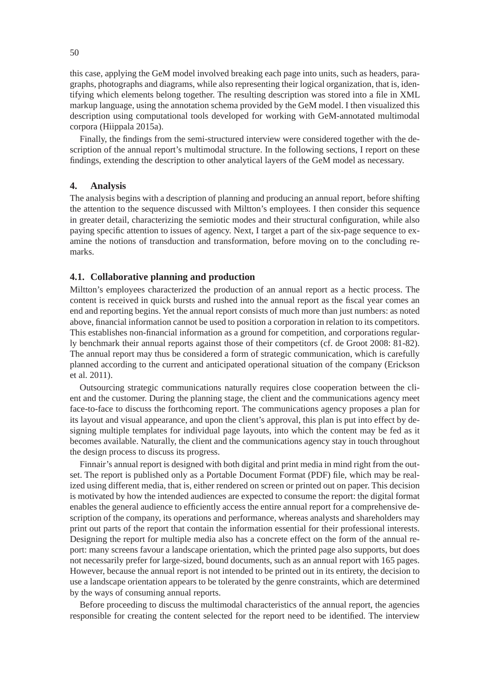this case, applying the GeM model involved breaking each page into units, such as headers, paragraphs, photographs and diagrams, while also representing their logical organization, that is, identifying which elements belong together. The resulting description was stored into a file in XML markup language, using the annotation schema provided by the GeM model. I then visualized this description using computational tools developed for working with GeM-annotated multimodal corpora (Hiippala 2015a).

Finally, the findings from the semi-structured interview were considered together with the description of the annual report's multimodal structure. In the following sections, I report on these findings, extending the description to other analytical layers of the GeM model as necessary.

#### **4. Analysis**

The analysis begins with a description of planning and producing an annual report, before shifting the attention to the sequence discussed with Miltton's employees. I then consider this sequence in greater detail, characterizing the semiotic modes and their structural configuration, while also paying specific attention to issues of agency. Next, I target a part of the six-page sequence to examine the notions of transduction and transformation, before moving on to the concluding remarks.

## **4.1. Collaborative planning and production**

Miltton's employees characterized the production of an annual report as a hectic process. The content is received in quick bursts and rushed into the annual report as the fiscal year comes an end and reporting begins. Yet the annual report consists of much more than just numbers: as noted above, financial information cannot be used to position a corporation in relation to its competitors. This establishes non-financial information as a ground for competition, and corporations regularly benchmark their annual reports against those of their competitors (cf. de Groot 2008: 81-82). The annual report may thus be considered a form of strategic communication, which is carefully planned according to the current and anticipated operational situation of the company (Erickson et al. 2011).

Outsourcing strategic communications naturally requires close cooperation between the client and the customer. During the planning stage, the client and the communications agency meet face-to-face to discuss the forthcoming report. The communications agency proposes a plan for its layout and visual appearance, and upon the client's approval, this plan is put into effect by designing multiple templates for individual page layouts, into which the content may be fed as it becomes available. Naturally, the client and the communications agency stay in touch throughout the design process to discuss its progress.

Finnair's annual report is designed with both digital and print media in mind right from the outset. The report is published only as a Portable Document Format (PDF) file, which may be realized using different media, that is, either rendered on screen or printed out on paper. This decision is motivated by how the intended audiences are expected to consume the report: the digital format enables the general audience to efficiently access the entire annual report for a comprehensive description of the company, its operations and performance, whereas analysts and shareholders may print out parts of the report that contain the information essential for their professional interests. Designing the report for multiple media also has a concrete effect on the form of the annual report: many screens favour a landscape orientation, which the printed page also supports, but does not necessarily prefer for large-sized, bound documents, such as an annual report with 165 pages. However, because the annual report is not intended to be printed out in its entirety, the decision to use a landscape orientation appears to be tolerated by the genre constraints, which are determined by the ways of consuming annual reports.

Before proceeding to discuss the multimodal characteristics of the annual report, the agencies responsible for creating the content selected for the report need to be identified. The interview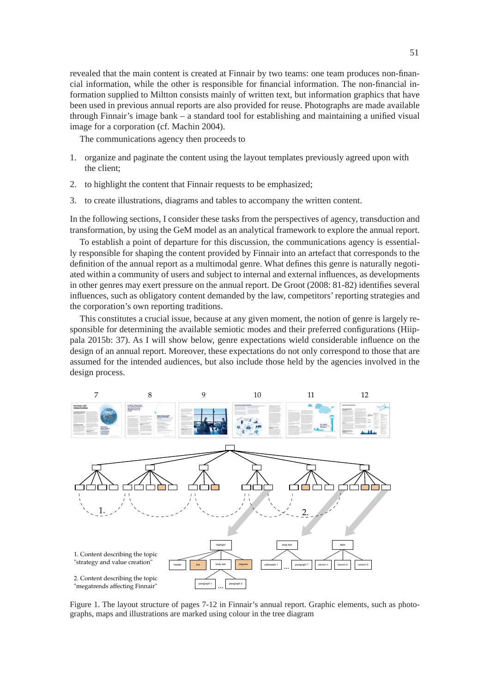revealed that the main content is created at Finnair by two teams: one team produces non-financial information, while the other is responsible for financial information. The non-financial information supplied to Miltton consists mainly of written text, but information graphics that have been used in previous annual reports are also provided for reuse. Photographs are made available through Finnair's image bank  $-$  a standard tool for establishing and maintaining a unified visual image for a corporation (cf. Machin 2004).

The communications agency then proceeds to

- 1. organize and paginate the content using the layout templates previously agreed upon with the client;
- 2. to highlight the content that Finnair requests to be emphasized;
- 3. to create illustrations, diagrams and tables to accompany the written content.

In the following sections, I consider these tasks from the perspectives of agency, transduction and transformation, by using the GeM model as an analytical framework to explore the annual report.

To establish a point of departure for this discussion, the communications agency is essentially responsible for shaping the content provided by Finnair into an artefact that corresponds to the definition of the annual report as a multimodal genre. What defines this genre is naturally negotiated within a community of users and subject to internal and external influences, as developments in other genres may exert pressure on the annual report. De Groot  $(2008: 81-82)$  identifies several influences, such as obligatory content demanded by the law, competitors' reporting strategies and the corporation's own reporting traditions.

This constitutes a crucial issue, because at any given moment, the notion of genre is largely responsible for determining the available semiotic modes and their preferred configurations (Hiippala 2015b: 37). As I will show below, genre expectations wield considerable influence on the design of an annual report. Moreover, these expectations do not only correspond to those that are assumed for the intended audiences, but also include those held by the agencies involved in the design process.



Figure 1. The layout structure of pages 7-12 in Finnair's annual report. Graphic elements, such as photographs, maps and illustrations are marked using colour in the tree diagram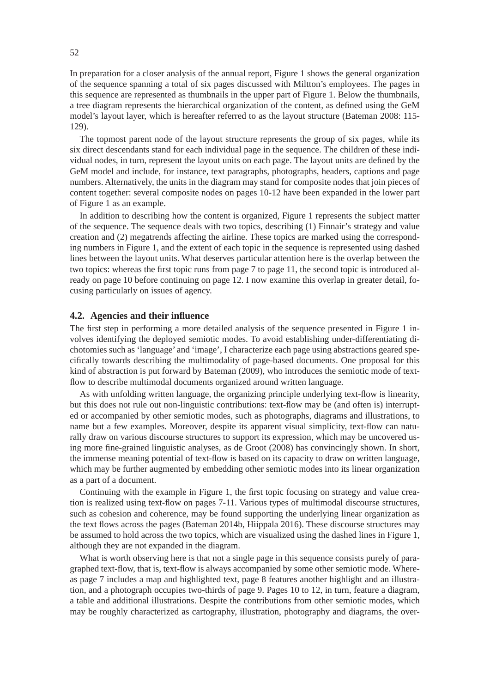In preparation for a closer analysis of the annual report, Figure 1 shows the general organization of the sequence spanning a total of six pages discussed with Miltton's employees. The pages in this sequence are represented as thumbnails in the upper part of Figure 1. Below the thumbnails, a tree diagram represents the hierarchical organization of the content, as defined using the GeM model's layout layer, which is hereafter referred to as the layout structure (Bateman 2008: 115- 129).

The topmost parent node of the layout structure represents the group of six pages, while its six direct descendants stand for each individual page in the sequence. The children of these individual nodes, in turn, represent the layout units on each page. The layout units are defined by the GeM model and include, for instance, text paragraphs, photographs, headers, captions and page numbers. Alternatively, the units in the diagram may stand for composite nodes that join pieces of content together: several composite nodes on pages 10-12 have been expanded in the lower part of Figure 1 as an example.

In addition to describing how the content is organized, Figure 1 represents the subject matter of the sequence. The sequence deals with two topics, describing (1) Finnair's strategy and value creation and (2) megatrends affecting the airline. These topics are marked using the corresponding numbers in Figure 1, and the extent of each topic in the sequence is represented using dashed lines between the layout units. What deserves particular attention here is the overlap between the two topics: whereas the first topic runs from page 7 to page 11, the second topic is introduced already on page 10 before continuing on page 12. I now examine this overlap in greater detail, focusing particularly on issues of agency.

#### **4.2. Agencies and their infl uence**

The first step in performing a more detailed analysis of the sequence presented in Figure 1 involves identifying the deployed semiotic modes. To avoid establishing under-differentiating dichotomies such as 'language' and 'image', I characterize each page using abstractions geared specifically towards describing the multimodality of page-based documents. One proposal for this kind of abstraction is put forward by Bateman (2009), who introduces the semiotic mode of textflow to describe multimodal documents organized around written language.

As with unfolding written language, the organizing principle underlying text-flow is linearity, but this does not rule out non-linguistic contributions: text-flow may be (and often is) interrupted or accompanied by other semiotic modes, such as photographs, diagrams and illustrations, to name but a few examples. Moreover, despite its apparent visual simplicity, text-flow can naturally draw on various discourse structures to support its expression, which may be uncovered using more fine-grained linguistic analyses, as de Groot (2008) has convincingly shown. In short, the immense meaning potential of text-flow is based on its capacity to draw on written language, which may be further augmented by embedding other semiotic modes into its linear organization as a part of a document.

Continuing with the example in Figure 1, the first topic focusing on strategy and value creation is realized using text-flow on pages 7-11. Various types of multimodal discourse structures, such as cohesion and coherence, may be found supporting the underlying linear organization as the text flows across the pages (Bateman 2014b, Hiippala 2016). These discourse structures may be assumed to hold across the two topics, which are visualized using the dashed lines in Figure 1, although they are not expanded in the diagram.

What is worth observing here is that not a single page in this sequence consists purely of paragraphed text-flow, that is, text-flow is always accompanied by some other semiotic mode. Whereas page 7 includes a map and highlighted text, page 8 features another highlight and an illustration, and a photograph occupies two-thirds of page 9. Pages 10 to 12, in turn, feature a diagram, a table and additional illustrations. Despite the contributions from other semiotic modes, which may be roughly characterized as cartography, illustration, photography and diagrams, the over-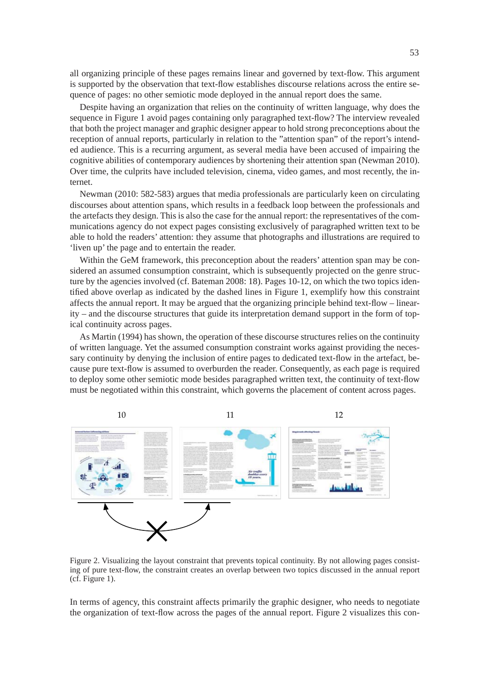all organizing principle of these pages remains linear and governed by text-flow. This argument is supported by the observation that text-flow establishes discourse relations across the entire sequence of pages: no other semiotic mode deployed in the annual report does the same.

Despite having an organization that relies on the continuity of written language, why does the sequence in Figure 1 avoid pages containing only paragraphed text-flow? The interview revealed that both the project manager and graphic designer appear to hold strong preconceptions about the reception of annual reports, particularly in relation to the "attention span" of the report's intended audience. This is a recurring argument, as several media have been accused of impairing the cognitive abilities of contemporary audiences by shortening their attention span (Newman 2010). Over time, the culprits have included television, cinema, video games, and most recently, the internet.

Newman (2010: 582-583) argues that media professionals are particularly keen on circulating discourses about attention spans, which results in a feedback loop between the professionals and the artefacts they design. This is also the case for the annual report: the representatives of the communications agency do not expect pages consisting exclusively of paragraphed written text to be able to hold the readers' attention: they assume that photographs and illustrations are required to 'liven up' the page and to entertain the reader.

Within the GeM framework, this preconception about the readers' attention span may be considered an assumed consumption constraint, which is subsequently projected on the genre structure by the agencies involved (cf. Bateman 2008: 18). Pages 10-12, on which the two topics identified above overlap as indicated by the dashed lines in Figure 1, exemplify how this constraint affects the annual report. It may be argued that the organizing principle behind text-flow – linearity – and the discourse structures that guide its interpretation demand support in the form of topical continuity across pages.

As Martin (1994) has shown, the operation of these discourse structures relies on the continuity of written language. Yet the assumed consumption constraint works against providing the necessary continuity by denying the inclusion of entire pages to dedicated text-flow in the artefact, because pure text-flow is assumed to overburden the reader. Consequently, as each page is required to deploy some other semiotic mode besides paragraphed written text, the continuity of text-flow must be negotiated within this constraint, which governs the placement of content across pages.



Figure 2. Visualizing the layout constraint that prevents topical continuity. By not allowing pages consisting of pure text-flow, the constraint creates an overlap between two topics discussed in the annual report (cf. Figure 1).

In terms of agency, this constraint affects primarily the graphic designer, who needs to negotiate the organization of text-flow across the pages of the annual report. Figure 2 visualizes this con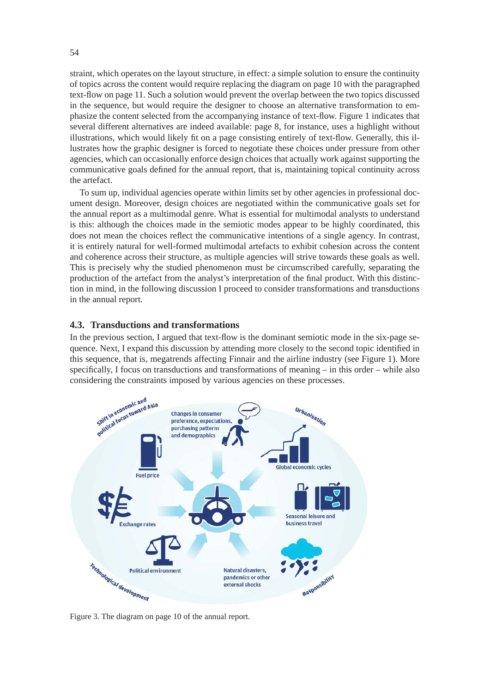straint, which operates on the layout structure, in effect: a simple solution to ensure the continuity of topics across the content would require replacing the diagram on page 10 with the paragraphed text-flow on page 11. Such a solution would prevent the overlap between the two topics discussed in the sequence, but would require the designer to choose an alternative transformation to emphasize the content selected from the accompanying instance of text-flow. Figure 1 indicates that several different alternatives are indeed available: page 8, for instance, uses a highlight without illustrations, which would likely fit on a page consisting entirely of text-flow. Generally, this illustrates how the graphic designer is forced to negotiate these choices under pressure from other agencies, which can occasionally enforce design choices that actually work against supporting the communicative goals defined for the annual report, that is, maintaining topical continuity across the artefact.

To sum up, individual agencies operate within limits set by other agencies in professional document design. Moreover, design choices are negotiated within the communicative goals set for the annual report as a multimodal genre. What is essential for multimodal analysts to understand is this: although the choices made in the semiotic modes appear to be highly coordinated, this does not mean the choices reflect the communicative intentions of a single agency. In contrast, it is entirely natural for well-formed multimodal artefacts to exhibit cohesion across the content and coherence across their structure, as multiple agencies will strive towards these goals as well. This is precisely why the studied phenomenon must be circumscribed carefully, separating the production of the artefact from the analyst's interpretation of the final product. With this distinction in mind, in the following discussion I proceed to consider transformations and transductions in the annual report.

## **4.3. Transductions and transformations**

In the previous section, I argued that text-flow is the dominant semiotic mode in the six-page sequence. Next, I expand this discussion by attending more closely to the second topic identified in this sequence, that is, megatrends affecting Finnair and the airline industry (see Figure 1). More specifically, I focus on transductions and transformations of meaning  $-$  in this order  $-$  while also considering the constraints imposed by various agencies on these processes.



Figure 3. The diagram on page 10 of the annual report.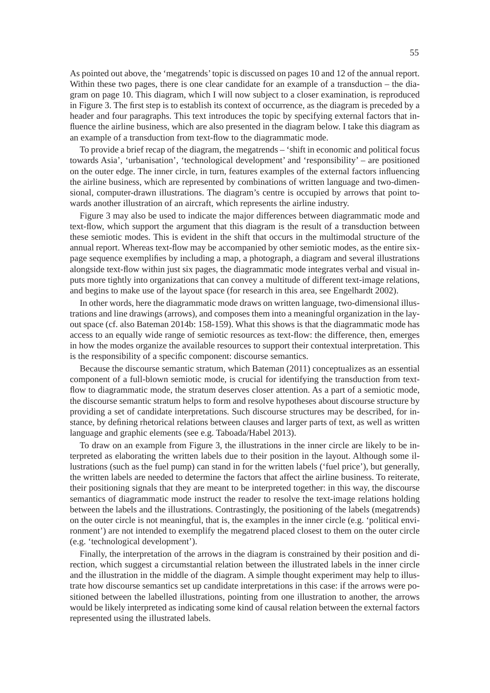As pointed out above, the 'megatrends' topic is discussed on pages 10 and 12 of the annual report. Within these two pages, there is one clear candidate for an example of a transduction – the diagram on page 10. This diagram, which I will now subject to a closer examination, is reproduced in Figure 3. The first step is to establish its context of occurrence, as the diagram is preceded by a header and four paragraphs. This text introduces the topic by specifying external factors that influence the airline business, which are also presented in the diagram below. I take this diagram as an example of a transduction from text-flow to the diagrammatic mode.

To provide a brief recap of the diagram, the megatrends – 'shift in economic and political focus towards Asia', 'urbanisation', 'technological development' and 'responsibility' – are positioned on the outer edge. The inner circle, in turn, features examples of the external factors influencing the airline business, which are represented by combinations of written language and two-dimensional, computer-drawn illustrations. The diagram's centre is occupied by arrows that point towards another illustration of an aircraft, which represents the airline industry.

Figure 3 may also be used to indicate the major differences between diagrammatic mode and text-flow, which support the argument that this diagram is the result of a transduction between these semiotic modes. This is evident in the shift that occurs in the multimodal structure of the annual report. Whereas text-flow may be accompanied by other semiotic modes, as the entire sixpage sequence exemplifies by including a map, a photograph, a diagram and several illustrations alongside text-flow within just six pages, the diagrammatic mode integrates verbal and visual inputs more tightly into organizations that can convey a multitude of different text-image relations, and begins to make use of the layout space (for research in this area, see Engelhardt 2002).

In other words, here the diagrammatic mode draws on written language, two-dimensional illustrations and line drawings (arrows), and composes them into a meaningful organization in the layout space (cf. also Bateman 2014b: 158-159). What this shows is that the diagrammatic mode has access to an equally wide range of semiotic resources as text-flow: the difference, then, emerges in how the modes organize the available resources to support their contextual interpretation. This is the responsibility of a specific component: discourse semantics.

Because the discourse semantic stratum, which Bateman (2011) conceptualizes as an essential component of a full-blown semiotic mode, is crucial for identifying the transduction from textflow to diagrammatic mode, the stratum deserves closer attention. As a part of a semiotic mode, the discourse semantic stratum helps to form and resolve hypotheses about discourse structure by providing a set of candidate interpretations. Such discourse structures may be described, for instance, by defining rhetorical relations between clauses and larger parts of text, as well as written language and graphic elements (see e.g. Taboada/Habel 2013).

To draw on an example from Figure 3, the illustrations in the inner circle are likely to be interpreted as elaborating the written labels due to their position in the layout. Although some illustrations (such as the fuel pump) can stand in for the written labels ('fuel price'), but generally, the written labels are needed to determine the factors that affect the airline business. To reiterate, their positioning signals that they are meant to be interpreted together: in this way, the discourse semantics of diagrammatic mode instruct the reader to resolve the text-image relations holding between the labels and the illustrations. Contrastingly, the positioning of the labels (megatrends) on the outer circle is not meaningful, that is, the examples in the inner circle (e.g. 'political environment') are not intended to exemplify the megatrend placed closest to them on the outer circle (e.g. 'technological development').

Finally, the interpretation of the arrows in the diagram is constrained by their position and direction, which suggest a circumstantial relation between the illustrated labels in the inner circle and the illustration in the middle of the diagram. A simple thought experiment may help to illustrate how discourse semantics set up candidate interpretations in this case: if the arrows were positioned between the labelled illustrations, pointing from one illustration to another, the arrows would be likely interpreted as indicating some kind of causal relation between the external factors represented using the illustrated labels.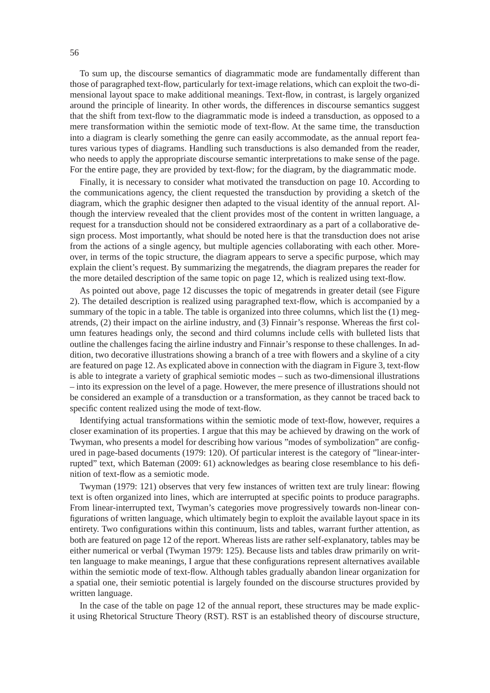To sum up, the discourse semantics of diagrammatic mode are fundamentally different than those of paragraphed text-flow, particularly for text-image relations, which can exploit the two-dimensional layout space to make additional meanings. Text-flow, in contrast, is largely organized around the principle of linearity. In other words, the differences in discourse semantics suggest that the shift from text-flow to the diagrammatic mode is indeed a transduction, as opposed to a mere transformation within the semiotic mode of text-flow. At the same time, the transduction into a diagram is clearly something the genre can easily accommodate, as the annual report features various types of diagrams. Handling such transductions is also demanded from the reader, who needs to apply the appropriate discourse semantic interpretations to make sense of the page. For the entire page, they are provided by text-flow; for the diagram, by the diagrammatic mode.

Finally, it is necessary to consider what motivated the transduction on page 10. According to the communications agency, the client requested the transduction by providing a sketch of the diagram, which the graphic designer then adapted to the visual identity of the annual report. Although the interview revealed that the client provides most of the content in written language, a request for a transduction should not be considered extraordinary as a part of a collaborative design process. Most importantly, what should be noted here is that the transduction does not arise from the actions of a single agency, but multiple agencies collaborating with each other. Moreover, in terms of the topic structure, the diagram appears to serve a specific purpose, which may explain the client's request. By summarizing the megatrends, the diagram prepares the reader for the more detailed description of the same topic on page 12, which is realized using text-flow.

As pointed out above, page 12 discusses the topic of megatrends in greater detail (see Figure 2). The detailed description is realized using paragraphed text-flow, which is accompanied by a summary of the topic in a table. The table is organized into three columns, which list the (1) megatrends, (2) their impact on the airline industry, and (3) Finnair's response. Whereas the first column features headings only, the second and third columns include cells with bulleted lists that outline the challenges facing the airline industry and Finnair's response to these challenges. In addition, two decorative illustrations showing a branch of a tree with flowers and a skyline of a city are featured on page 12. As explicated above in connection with the diagram in Figure 3, text-flow is able to integrate a variety of graphical semiotic modes – such as two-dimensional illustrations – into its expression on the level of a page. However, the mere presence of illustrations should not be considered an example of a transduction or a transformation, as they cannot be traced back to specific content realized using the mode of text-flow.

Identifying actual transformations within the semiotic mode of text-flow, however, requires a closer examination of its properties. I argue that this may be achieved by drawing on the work of Twyman, who presents a model for describing how various "modes of symbolization" are configured in page-based documents (1979: 120). Of particular interest is the category of "linear-interrupted" text, which Bateman (2009: 61) acknowledges as bearing close resemblance to his definition of text-flow as a semiotic mode.

Twyman (1979: 121) observes that very few instances of written text are truly linear: flowing text is often organized into lines, which are interrupted at specific points to produce paragraphs. From linear-interrupted text, Twyman's categories move progressively towards non-linear configurations of written language, which ultimately begin to exploit the available layout space in its entirety. Two configurations within this continuum, lists and tables, warrant further attention, as both are featured on page 12 of the report. Whereas lists are rather self-explanatory, tables may be either numerical or verbal (Twyman 1979: 125). Because lists and tables draw primarily on written language to make meanings, I argue that these configurations represent alternatives available within the semiotic mode of text-flow. Although tables gradually abandon linear organization for a spatial one, their semiotic potential is largely founded on the discourse structures provided by written language.

In the case of the table on page 12 of the annual report, these structures may be made explicit using Rhetorical Structure Theory (RST). RST is an established theory of discourse structure,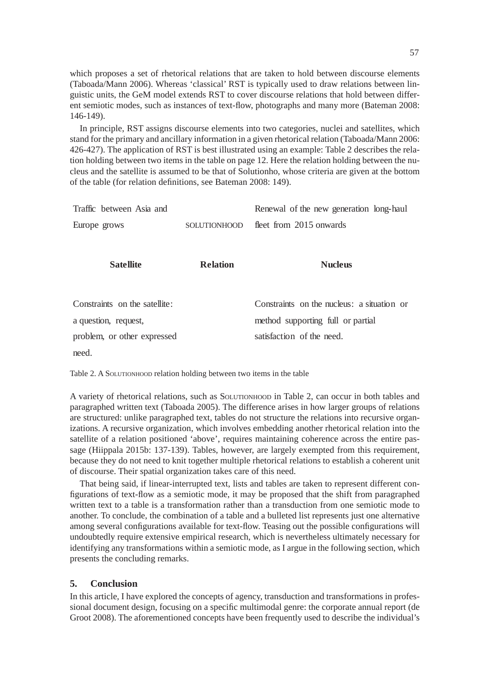which proposes a set of rhetorical relations that are taken to hold between discourse elements (Taboada/Mann 2006). Whereas 'classical' RST is typically used to draw relations between linguistic units, the GeM model extends RST to cover discourse relations that hold between different semiotic modes, such as instances of text-flow, photographs and many more (Bateman 2008: 146-149).

In principle, RST assigns discourse elements into two categories, nuclei and satellites, which stand for the primary and ancillary information in a given rhetorical relation (Taboada/Mann 2006: 426-427). The application of RST is best illustrated using an example: Table 2 describes the relation holding between two items in the table on page 12. Here the relation holding between the nucleus and the satellite is assumed to be that of Solutionho, whose criteria are given at the bottom of the table (for relation definitions, see Bateman 2008: 149).

| Traffic between Asia and      |                 | Renewal of the new generation long-haul    |
|-------------------------------|-----------------|--------------------------------------------|
| Europe grows                  | SOLUTIONHOOD    | fleet from 2015 onwards                    |
|                               |                 |                                            |
| <b>Satellite</b>              | <b>Relation</b> | <b>Nucleus</b>                             |
|                               |                 |                                            |
| Constraints on the satellite: |                 | Constraints on the nucleus: a situation or |
| a question, request,          |                 | method supporting full or partial          |
| problem, or other expressed   |                 | satisfaction of the need.                  |
| need.                         |                 |                                            |

Table 2. A SOLUTIONHOOD relation holding between two items in the table

A variety of rhetorical relations, such as SOLUTIONHOOD in Table 2, can occur in both tables and paragraphed written text (Taboada 2005). The difference arises in how larger groups of relations are structured: unlike paragraphed text, tables do not structure the relations into recursive organizations. A recursive organization, which involves embedding another rhetorical relation into the satellite of a relation positioned 'above', requires maintaining coherence across the entire passage (Hiippala 2015b: 137-139). Tables, however, are largely exempted from this requirement, because they do not need to knit together multiple rhetorical relations to establish a coherent unit of discourse. Their spatial organization takes care of this need.

That being said, if linear-interrupted text, lists and tables are taken to represent different configurations of text-flow as a semiotic mode, it may be proposed that the shift from paragraphed written text to a table is a transformation rather than a transduction from one semiotic mode to another. To conclude, the combination of a table and a bulleted list represents just one alternative among several configurations available for text-flow. Teasing out the possible configurations will undoubtedly require extensive empirical research, which is nevertheless ultimately necessary for identifying any transformations within a semiotic mode, as I argue in the following section, which presents the concluding remarks.

## **5. Conclusion**

In this article, I have explored the concepts of agency, transduction and transformations in professional document design, focusing on a specific multimodal genre: the corporate annual report (de Groot 2008). The aforementioned concepts have been frequently used to describe the individual's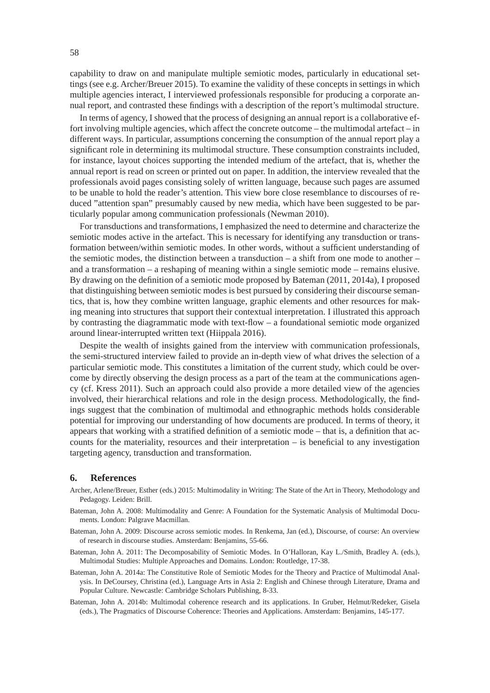capability to draw on and manipulate multiple semiotic modes, particularly in educational settings (see e.g. Archer/Breuer 2015). To examine the validity of these concepts in settings in which multiple agencies interact, I interviewed professionals responsible for producing a corporate annual report, and contrasted these findings with a description of the report's multimodal structure.

In terms of agency, I showed that the process of designing an annual report is a collaborative effort involving multiple agencies, which affect the concrete outcome – the multimodal artefact – in different ways. In particular, assumptions concerning the consumption of the annual report play a significant role in determining its multimodal structure. These consumption constraints included, for instance, layout choices supporting the intended medium of the artefact, that is, whether the annual report is read on screen or printed out on paper. In addition, the interview revealed that the professionals avoid pages consisting solely of written language, because such pages are assumed to be unable to hold the reader's attention. This view bore close resemblance to discourses of reduced "attention span" presumably caused by new media, which have been suggested to be particularly popular among communication professionals (Newman 2010).

For transductions and transformations, I emphasized the need to determine and characterize the semiotic modes active in the artefact. This is necessary for identifying any transduction or transformation between/within semiotic modes. In other words, without a sufficient understanding of the semiotic modes, the distinction between a transduction – a shift from one mode to another – and a transformation – a reshaping of meaning within a single semiotic mode – remains elusive. By drawing on the definition of a semiotic mode proposed by Bateman  $(2011, 2014a)$ , I proposed that distinguishing between semiotic modes is best pursued by considering their discourse semantics, that is, how they combine written language, graphic elements and other resources for making meaning into structures that support their contextual interpretation. I illustrated this approach by contrasting the diagrammatic mode with text-flow  $-$  a foundational semiotic mode organized around linear-interrupted written text (Hiippala 2016).

Despite the wealth of insights gained from the interview with communication professionals, the semi-structured interview failed to provide an in-depth view of what drives the selection of a particular semiotic mode. This constitutes a limitation of the current study, which could be overcome by directly observing the design process as a part of the team at the communications agency (cf. Kress 2011). Such an approach could also provide a more detailed view of the agencies involved, their hierarchical relations and role in the design process. Methodologically, the findings suggest that the combination of multimodal and ethnographic methods holds considerable potential for improving our understanding of how documents are produced. In terms of theory, it appears that working with a stratified definition of a semiotic mode – that is, a definition that accounts for the materiality, resources and their interpretation  $-$  is beneficial to any investigation targeting agency, transduction and transformation.

#### **6. References**

- Archer, Arlene/Breuer, Esther (eds.) 2015: Multimodality in Writing: The State of the Art in Theory, Methodology and Pedagogy. Leiden: Brill.
- Bateman, John A. 2008: Multimodality and Genre: A Foundation for the Systematic Analysis of Multimodal Documents. London: Palgrave Macmillan.
- Bateman, John A. 2009: Discourse across semiotic modes. In Renkema, Jan (ed.), Discourse, of course: An overview of research in discourse studies. Amsterdam: Benjamins, 55-66.
- Bateman, John A. 2011: The Decomposability of Semiotic Modes. In O'Halloran, Kay L./Smith, Bradley A. (eds.), Multimodal Studies: Multiple Approaches and Domains. London: Routledge, 17-38.
- Bateman, John A. 2014a: The Constitutive Role of Semiotic Modes for the Theory and Practice of Multimodal Analysis. In DeCoursey, Christina (ed.), Language Arts in Asia 2: English and Chinese through Literature, Drama and Popular Culture. Newcastle: Cambridge Scholars Publishing, 8-33.
- Bateman, John A. 2014b: Multimodal coherence research and its applications. In Gruber, Helmut/Redeker, Gisela (eds.), The Pragmatics of Discourse Coherence: Theories and Applications. Amsterdam: Benjamins, 145-177.